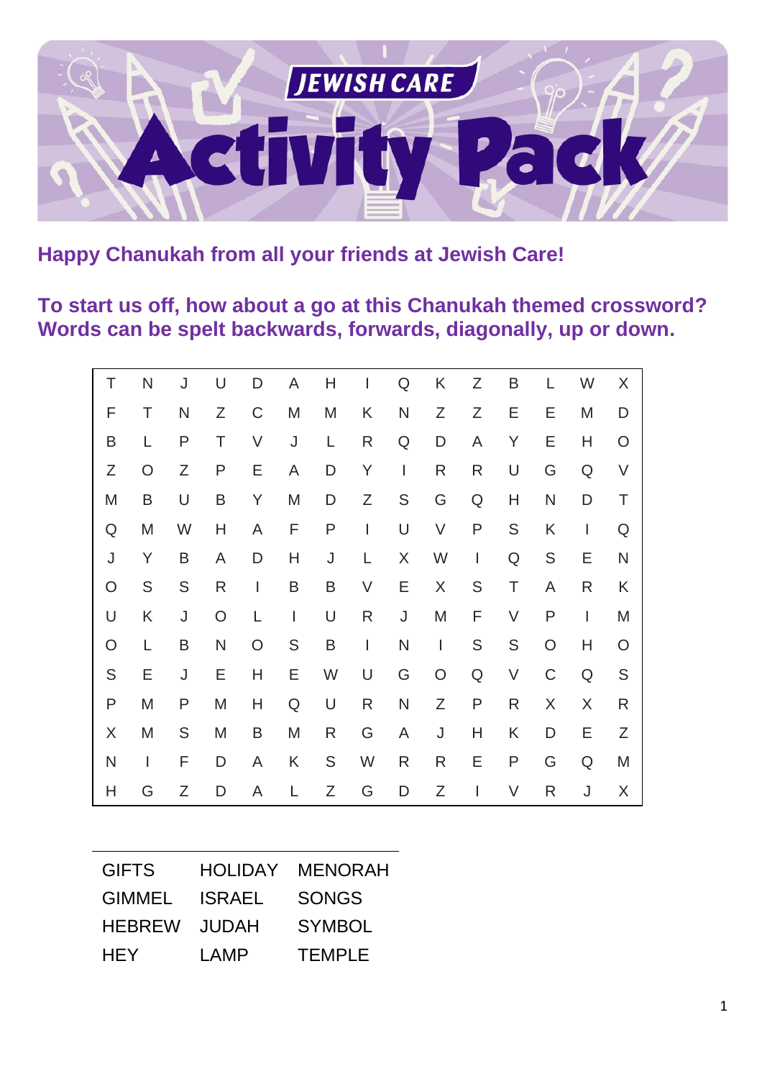

**Happy Chanukah from all your friends at Jewish Care!**

**To start us off, how about a go at this Chanukah themed crossword? Words can be spelt backwards, forwards, diagonally, up or down.**

| Τ       | N            | J             | U            | D                        | A             | H            | I                        | Q                        | K                        | Ζ             | B             | L             | W              | X            |
|---------|--------------|---------------|--------------|--------------------------|---------------|--------------|--------------------------|--------------------------|--------------------------|---------------|---------------|---------------|----------------|--------------|
| F       | Τ            | N             | Ζ            | $\mathsf C$              | M             | M            | K                        | N                        | Ζ                        | Ζ             | Е             | Ε             | M              | D            |
| B       | L            | P             | Τ            | V                        | J             | L            | R                        | Q                        | D                        | A             | Y             | Ε             | Н              | O            |
| Ζ       | $\circ$      | Ζ             | $\mathsf{P}$ | Е                        | A             | D            | Y                        | $\overline{\phantom{a}}$ | $\mathsf{R}$             | R             | U             | G             | Q              | V            |
| M       | B            | U             | B            | Y                        | M             | D            | Ζ                        | ${\mathsf S}$            | G                        | Q             | Η             | N             | D              | T            |
| Q       | M            | W             | H            | A                        | F             | $\mathsf{P}$ | $\overline{\phantom{a}}$ | U                        | V                        | ${\sf P}$     | ${\mathsf S}$ | K             | $\mathbf{I}$   | Q            |
| J       | Y            | B             | A            | D                        | Н             | $\sf J$      | L                        | X                        | W                        | $\mathbf{I}$  | Q             | ${\mathsf S}$ | Ε              | $\mathsf{N}$ |
| $\circ$ | ${\sf S}$    | ${\mathsf S}$ | R            | $\overline{\phantom{a}}$ | B             | B            | V                        | Ε                        | X                        | ${\mathsf S}$ | Τ             | A             | R              | K            |
| U       | Κ            | J             | $\bigcirc$   | L.                       | $\mathbf{I}$  | U            | R                        | J                        | M                        | F             | V             | P             | $\overline{1}$ | M            |
| O       | L            | B             | $\mathsf{N}$ | $\circ$                  | ${\mathsf S}$ | B            | $\mathbf{I}$             | N                        | $\overline{\phantom{a}}$ | S             | ${\mathsf S}$ | $\circ$       | H              | O            |
| S       | Ε            | J             | Ε            | H                        | Ε             | W            | U                        | G                        | O                        | Q             | V             | C             | Q              | S            |
| P       | M            | P             | M            | H                        | Q             | U            | R                        | N                        | Ζ                        | P             | R             | X             | X              | R            |
| X       | M            | ${\mathsf S}$ | M            | B                        | M             | R            | G                        | A                        | J                        | H             | Κ             | D             | Ε              | Ζ            |
| N       | $\mathbf{I}$ | F             | D            | A                        | K             | S            | W                        | R                        | R                        | Ε             | P             | G             | $\mathsf Q$    | M            |
| H       | G            | Ζ             | D            | A                        | L             | Ζ            | G                        | D                        | Ζ                        | $\mathbf{I}$  | V             | R             | J              | X            |

| <b>GIFTS</b>  | <b>HOLIDAY</b> | <b>MENORAH</b> |
|---------------|----------------|----------------|
| <b>GIMMEL</b> | <b>ISRAEL</b>  | <b>SONGS</b>   |
| <b>HEBREW</b> | <b>JUDAH</b>   | <b>SYMBOL</b>  |
| <b>HEY</b>    | LAMP           | <b>TEMPLE</b>  |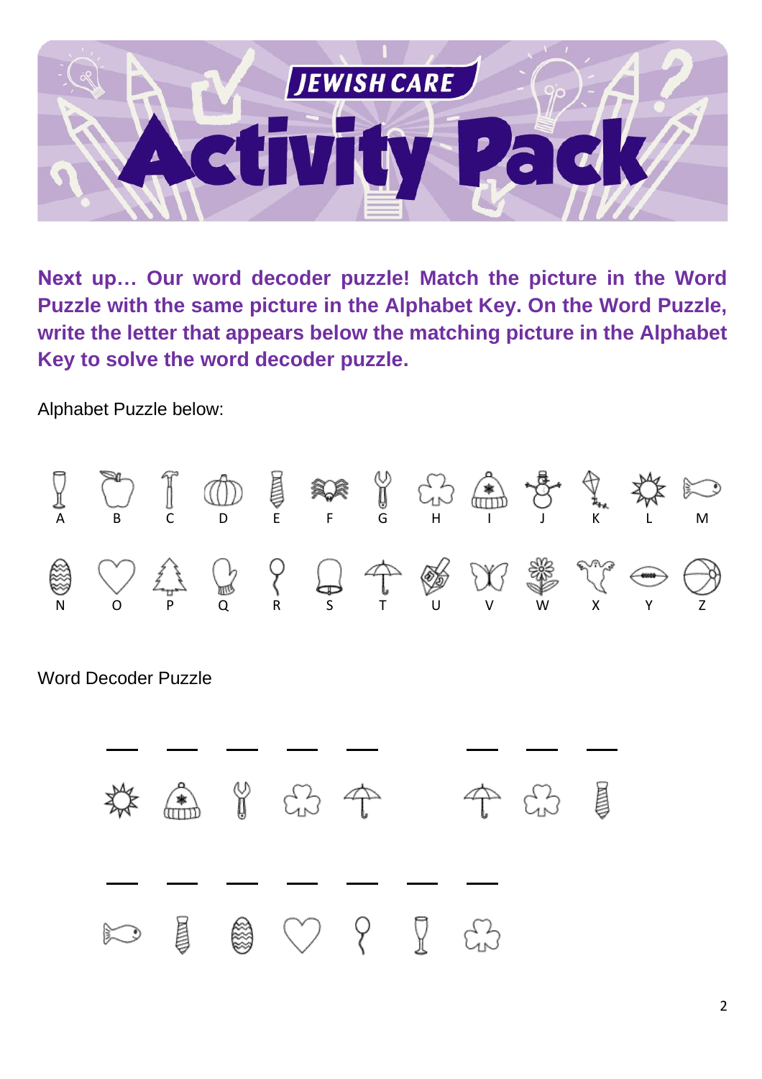

**Next up… Our word decoder puzzle! Match the picture in the Word Puzzle with the same picture in the Alphabet Key. On the Word Puzzle, write the letter that appears below the matching picture in the Alphabet Key to solve the word decoder puzzle.**

Alphabet Puzzle below:



Word Decoder Puzzle

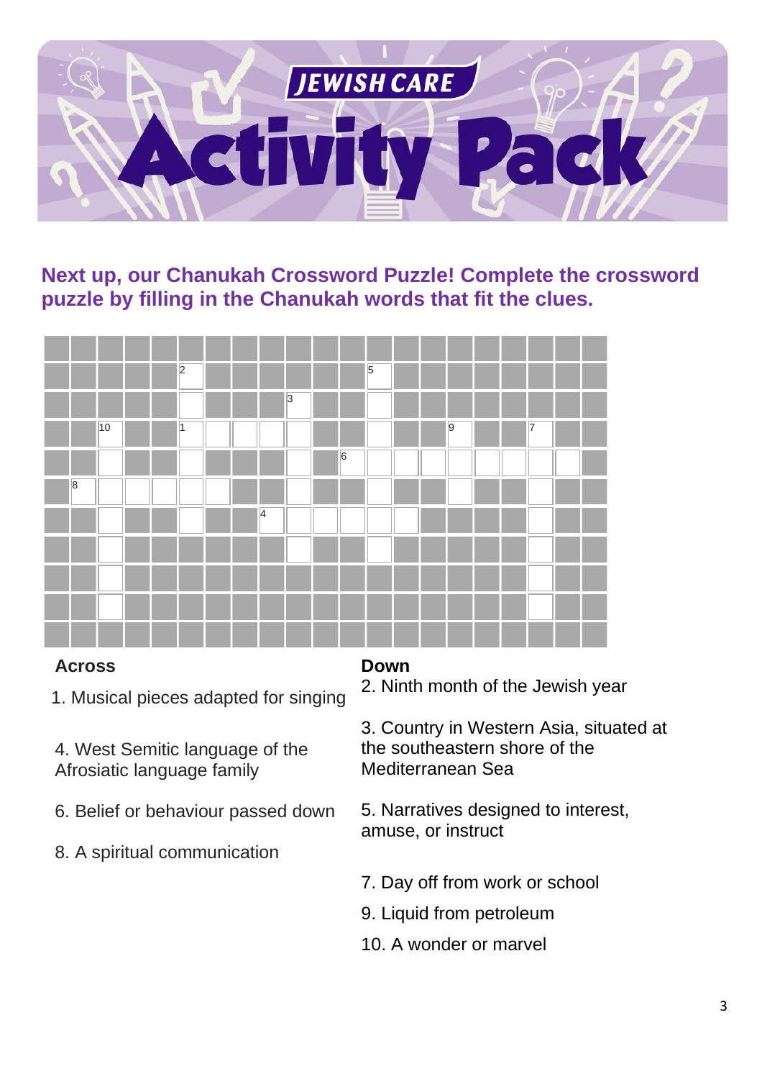

**Next up, our Chanukah Crossword Puzzle! Complete the crossword puzzle by filling in the Chanukah words that fit the clues.**



#### **Across**

1. Musical pieces adapted for singing

4. West Semitic language of the Afrosiatic language family

- 6. Belief or behaviour passed down
- 8. A spiritual communication

#### **Down**

2. Ninth month of the Jewish year

3. Country in Western Asia, situated at the southeastern shore of the Mediterranean Sea

5. Narratives designed to interest, amuse, or instruct

- 7. Day off from work or school
- 9. Liquid from petroleum
- 10. A wonder or marvel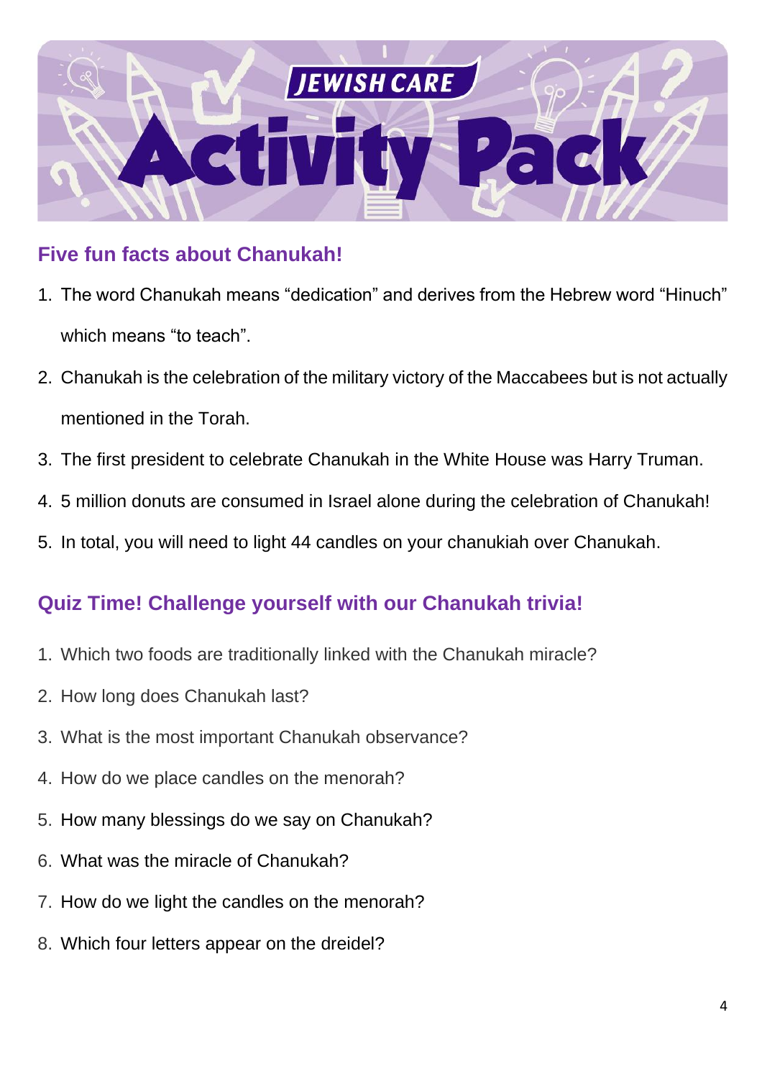

## **Five fun facts about Chanukah!**

- 1. The word Chanukah means "dedication" and derives from the Hebrew word "Hinuch" which means "to teach".
- 2. Chanukah is the celebration of the military victory of the Maccabees but is not actually mentioned in the Torah.
- 3. The first president to celebrate Chanukah in the White House was Harry Truman.
- 4. 5 million donuts are consumed in Israel alone during the celebration of Chanukah!
- 5. In total, you will need to light 44 candles on your chanukiah over Chanukah.

#### **Quiz Time! Challenge yourself with our Chanukah trivia!**

- 1. Which two foods are traditionally linked with the Chanukah miracle?
- 2. How long does Chanukah last?
- 3. What is the most important Chanukah observance?
- 4. How do we place candles on the menorah?
- 5. How many blessings do we say on Chanukah?
- 6. What was the miracle of Chanukah?
- 7. How do we light the candles on the menorah?
- 8. Which four letters appear on the dreidel?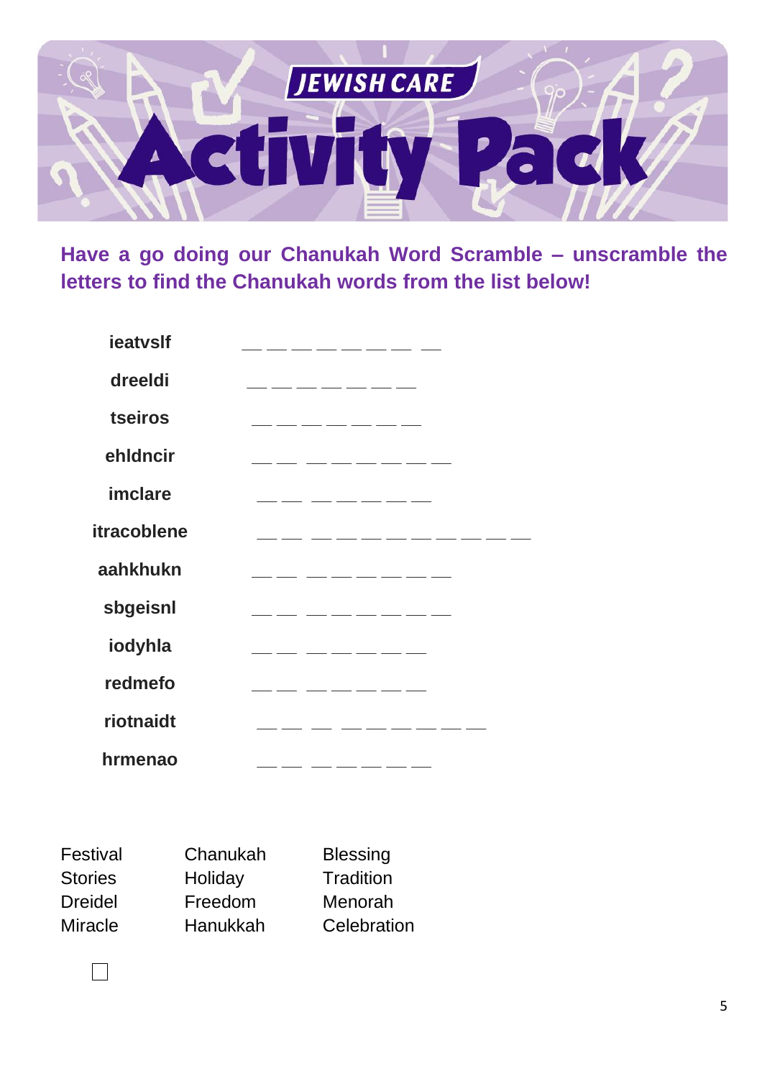

Have a go doing our Chanukah Word Scramble - unscramble the letters to find the Chanukah words from the list below!

| ieatvslf    |                             |
|-------------|-----------------------------|
| dreeldi     | __ __ __ __ __ __ __ __     |
| tseiros     | _ __ __ __ __ __ __ __      |
| ehldncir    | __ __ __ __ __ __ __ __ __  |
| imclare     | ________________________    |
| itracoblene | __ ___ ___ ___ ___ ___      |
| aahkhukn    | __ __ __ __ __ __ __ __     |
| sbgeisnl    |                             |
| iodyhla     | ___ __ __ __ __ __ __ __    |
| redmefo     | ___ ___ ___ ___ ___ ___ ___ |
| riotnaidt   | _____ ____ ____ ____ ____   |
| hrmenao     |                             |

| Festival       | Chanukah | <b>Blessing</b> |
|----------------|----------|-----------------|
| <b>Stories</b> | Holiday  | Tradition       |
| <b>Dreidel</b> | Freedom  | Menorah         |
| <b>Miracle</b> | Hanukkah | Celebration     |

 $\vert$   $\vert$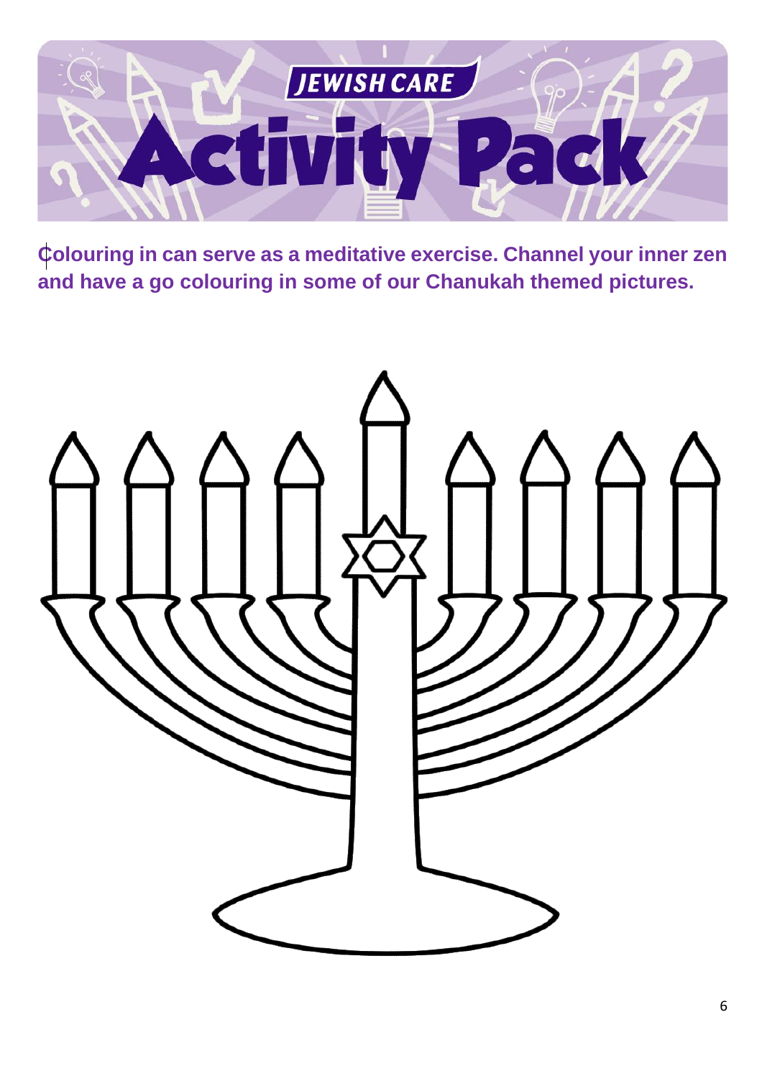

**Colouring in can serve as a meditative exercise. Channel your inner zen and have a go colouring in some of our Chanukah themed pictures.**

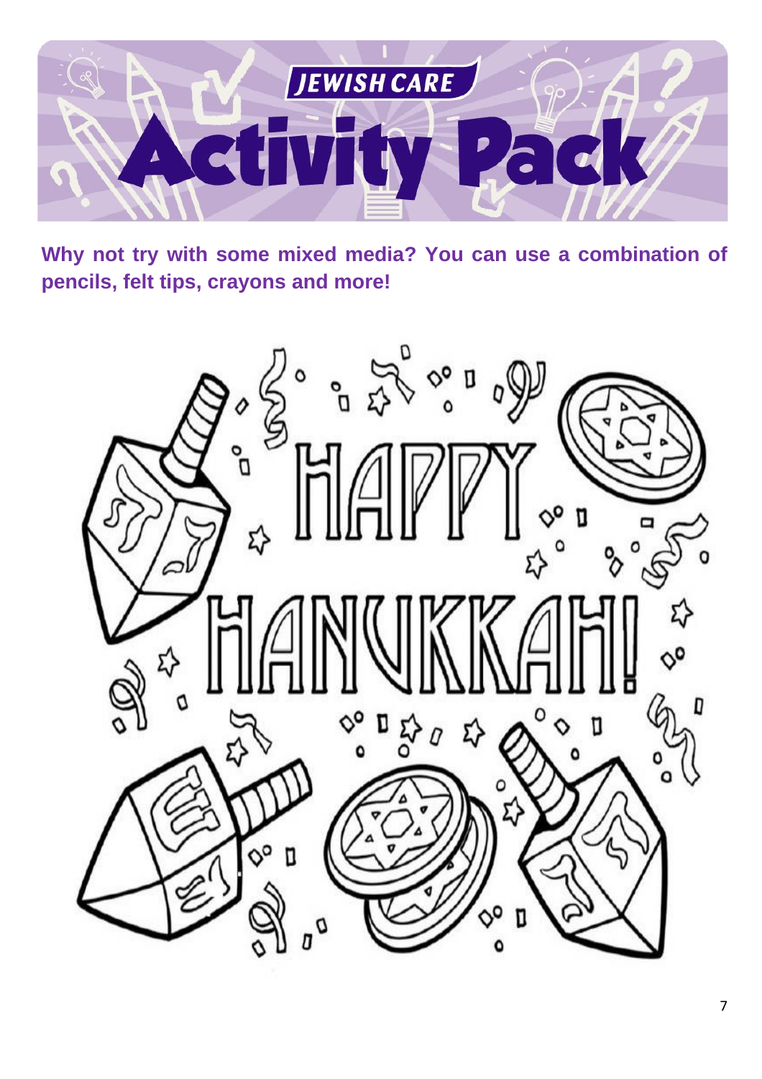

**Why not try with some mixed media? You can use a combination of pencils, felt tips, crayons and more!**

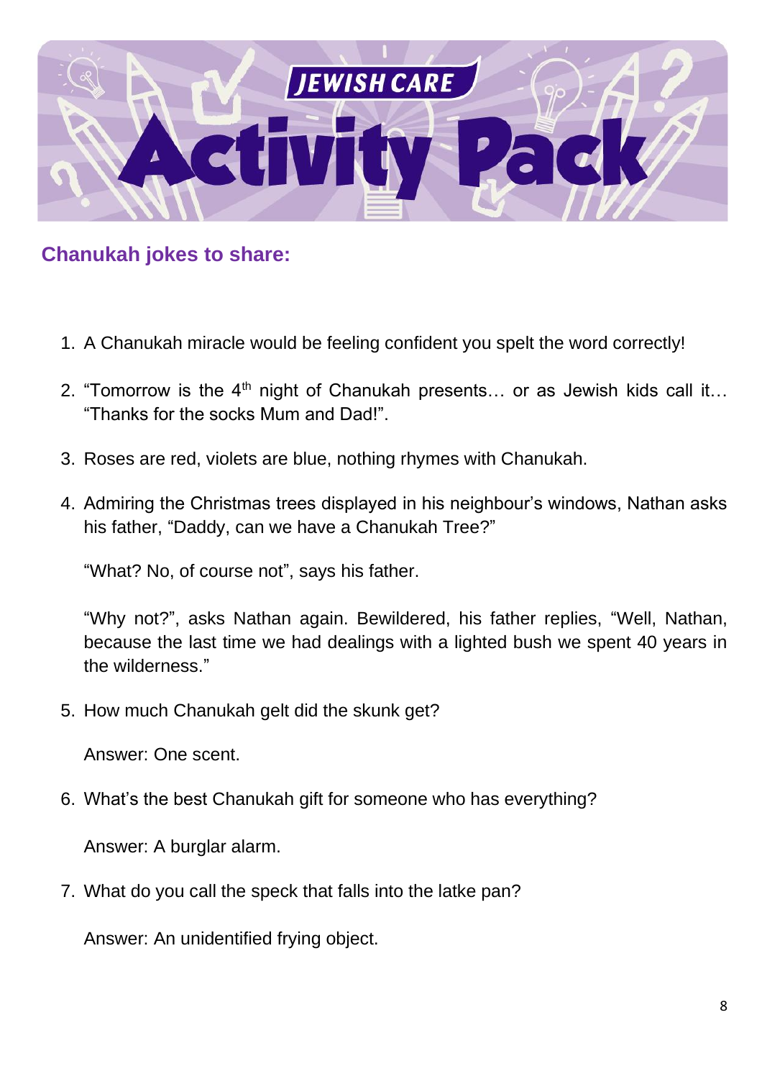

**Chanukah jokes to share:**

- 1. A Chanukah miracle would be feeling confident you spelt the word correctly!
- 2. "Tomorrow is the  $4<sup>th</sup>$  night of Chanukah presents... or as Jewish kids call it... "Thanks for the socks Mum and Dad!".
- 3. Roses are red, violets are blue, nothing rhymes with Chanukah.
- 4. Admiring the Christmas trees displayed in his neighbour's windows, Nathan asks his father, "Daddy, can we have a Chanukah Tree?"

"What? No, of course not", says his father.

"Why not?", asks Nathan again. Bewildered, his father replies, "Well, Nathan, because the last time we had dealings with a lighted bush we spent 40 years in the wilderness."

5. How much Chanukah gelt did the skunk get?

Answer: One scent.

6. What's the best Chanukah gift for someone who has everything?

Answer: A burglar alarm.

7. What do you call the speck that falls into the latke pan?

Answer: An unidentified frying object.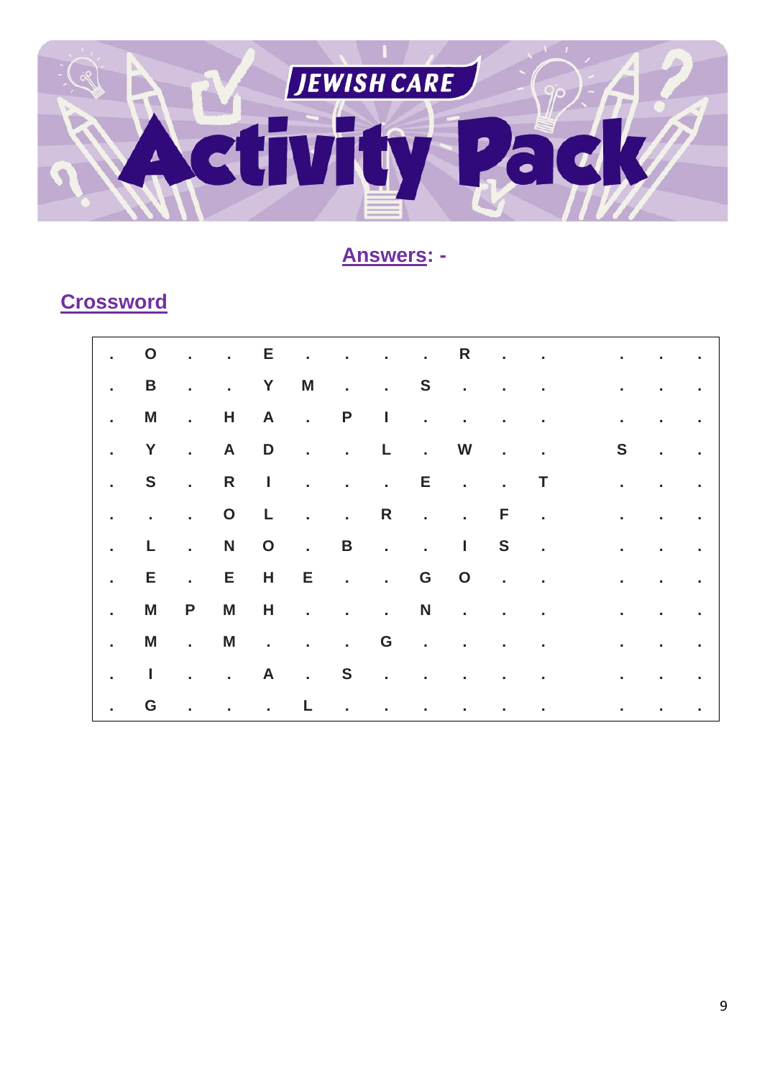

#### **Answers: -**

## **Crossword**

|                             | $\sim$ 0                  |                           |                     |       |  |  |                                                  | $\mathbf{r}$ , $\mathbf{r}$ , $\mathbf{r}$ , $\mathbf{r}$ , $\mathbf{r}$ , $\mathbf{r}$ , $\mathbf{r}$ , $\mathbf{r}$ , $\mathbf{r}$ , $\mathbf{r}$ , $\mathbf{r}$ , $\mathbf{r}$ , $\mathbf{r}$                                     |                                   |                   |                                               |
|-----------------------------|---------------------------|---------------------------|---------------------|-------|--|--|--------------------------------------------------|--------------------------------------------------------------------------------------------------------------------------------------------------------------------------------------------------------------------------------------|-----------------------------------|-------------------|-----------------------------------------------|
| $\mathbf{r}$                | B                         |                           | . . Y M             |       |  |  |                                                  | <u>in the Same Community of the Same Community of the Same Community of the Same Community of the Same Community of the Same Community of the Same Community of the Same Community of the Same Community of the Same Community o</u> |                                   |                   |                                               |
| $\mathbb{R}$                | M                         | $\sim 100$ km s $^{-1}$   |                     |       |  |  | H A . P I                                        |                                                                                                                                                                                                                                      | the control of the control of the |                   |                                               |
| $\sim$                      | $\mathbf{Y}$              | <b>Contractor</b>         |                     | A D   |  |  |                                                  | and a strategic control of                                                                                                                                                                                                           |                                   |                   | $S \qquad . \qquad .$                         |
| $\mathbf{r} = \mathbf{r}$ . | <b>S</b>                  |                           |                     |       |  |  | <b>Experience Enterprise Report</b>              |                                                                                                                                                                                                                                      | and the state of the state of     |                   |                                               |
| $\mathbf{I}$                | $\sim 10^{-10}$ m $^{-1}$ |                           | $\cdot$ 0 L         |       |  |  | $\ldots$ R $\ldots$ F $\ldots$                   |                                                                                                                                                                                                                                      | <b>Contractor</b>                 |                   | $\mathbf{r} = \mathbf{r} \cdot \mathbf{r}$ .  |
| $\mathbf{r}$ .              | L                         | $\mathbf{r} = \mathbf{r}$ | N O                 |       |  |  | $\cdot$ B $\cdot$ $\cdot$ I S $\cdot$            |                                                                                                                                                                                                                                      | $\sim 1000$ km s $^{-1}$          |                   | $\mathbf{r} = \mathbf{r} \times \mathbf{r}$ . |
| $\sim 10^{-1}$              | E.                        | $\sim 100$ km s $^{-1}$   | E                   | $H$ E |  |  |                                                  |                                                                                                                                                                                                                                      | à.                                |                   | <b>Contractor</b>                             |
| $\mathbf{r}$                | M                         | $\mathsf{P}$              | M                   | H     |  |  | $\cdots$ $\cdots$ $\mathsf{N}$ $\cdots$ $\cdots$ |                                                                                                                                                                                                                                      | $\mathbf{r}$                      | <b>Contractor</b> |                                               |
| $\mathbf{1}$                | M                         | $\sim 100$ km s $^{-1}$   | M                   |       |  |  |                                                  |                                                                                                                                                                                                                                      | the control of the control of the |                   |                                               |
| $\mathcal{L}^{\text{max}}$  | $\mathbf{I}$              |                           |                     |       |  |  | . . A . S                                        |                                                                                                                                                                                                                                      |                                   |                   | and the company                               |
| $\mathbb{R}$                | G                         |                           | and a strong to the |       |  |  |                                                  | the contract of the contract of the contract of the contract of                                                                                                                                                                      |                                   |                   |                                               |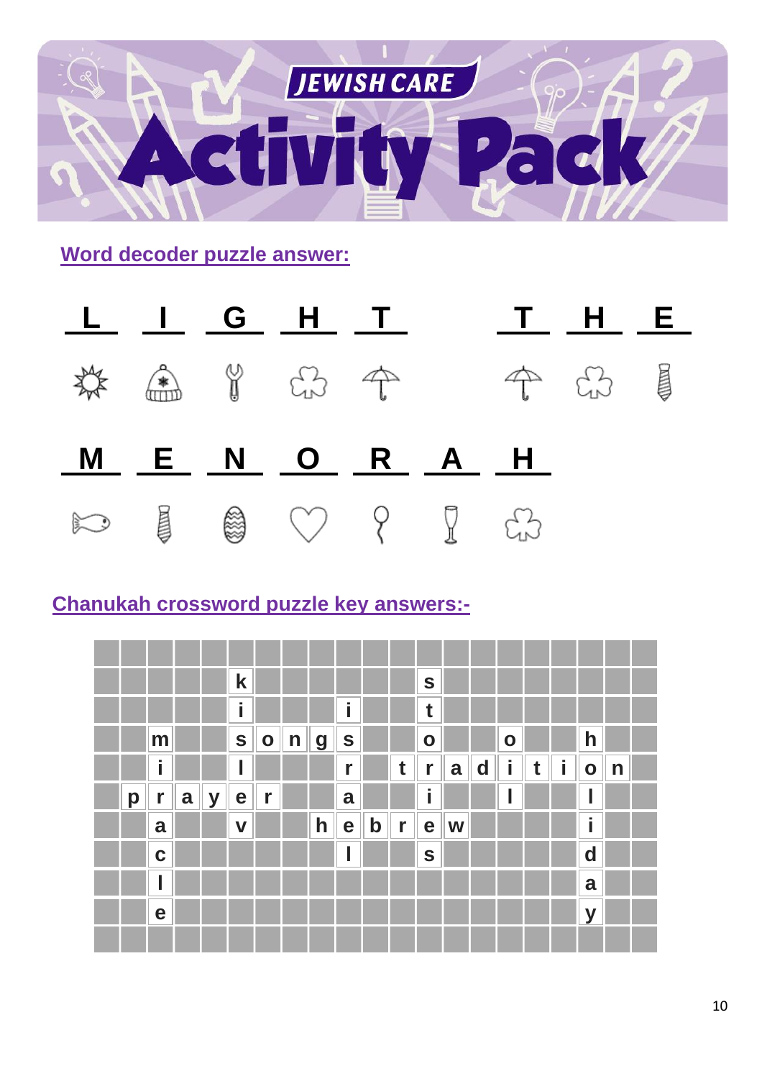

**Word decoder puzzle answer:**



## **Chanukah crossword puzzle key answers:-**

|   |             |   |   | $\mathbf k$ |              |              |              |              |             |              | S            |   |             |           |   |   |                |              |  |
|---|-------------|---|---|-------------|--------------|--------------|--------------|--------------|-------------|--------------|--------------|---|-------------|-----------|---|---|----------------|--------------|--|
|   |             |   |   | i           |              |              |              | i            |             |              | t            |   |             |           |   |   |                |              |  |
|   | m           |   |   | $\mathbf S$ | $\mathbf{o}$ | $\mathsf{n}$ | <b>g</b>     | $\mathbf{s}$ |             |              | $\mathbf{o}$ |   |             | $\bullet$ |   |   | h              |              |  |
|   | i           |   |   |             |              |              |              | r            |             | $\mathbf t$  | $\mathbf{r}$ | a | $\mathbf d$ | i         | t | i | $\overline{O}$ | $\mathsf{n}$ |  |
| p | $\mathbf r$ | a | y | e           | r            |              |              | a            |             |              | i            |   |             |           |   |   |                |              |  |
|   | a           |   |   | $\mathbf v$ |              |              | $\mathsf{h}$ | e            | $\mathbf b$ | $\mathbb{F}$ | e            | W |             |           |   |   | ٠              |              |  |
|   | $\mathbf C$ |   |   |             |              |              |              |              |             |              | $\mathbf S$  |   |             |           |   |   | $\mathbf d$    |              |  |
|   |             |   |   |             |              |              |              |              |             |              |              |   |             |           |   |   | a              |              |  |
|   | e           |   |   |             |              |              |              |              |             |              |              |   |             |           |   |   | $\mathbf V$    |              |  |
|   |             |   |   |             |              |              |              |              |             |              |              |   |             |           |   |   |                |              |  |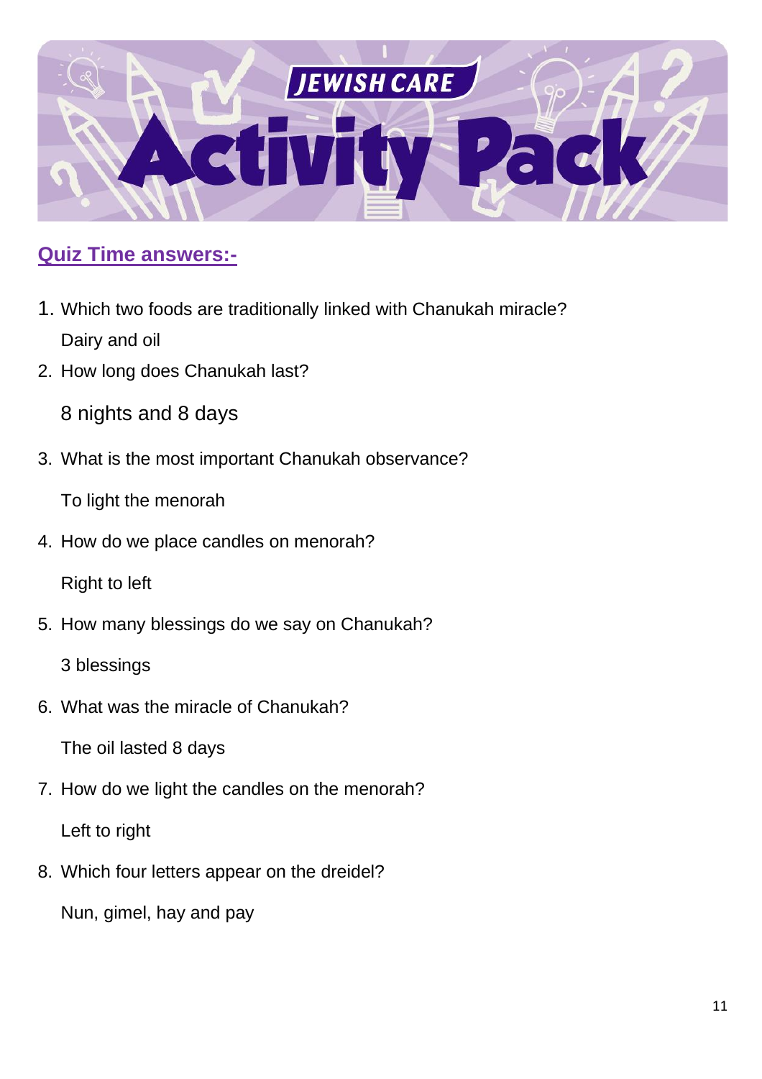

#### **Quiz Time answers:-**

- 1. Which two foods are traditionally linked with Chanukah miracle? Dairy and oil
- 2. How long does Chanukah last?

8 nights and 8 days

3. What is the most important Chanukah observance?

To light the menorah

4. How do we place candles on menorah?

Right to left

5. How many blessings do we say on Chanukah?

3 blessings

6. What was the miracle of Chanukah?

The oil lasted 8 days

7. How do we light the candles on the menorah?

Left to right

8. Which four letters appear on the dreidel?

Nun, gimel, hay and pay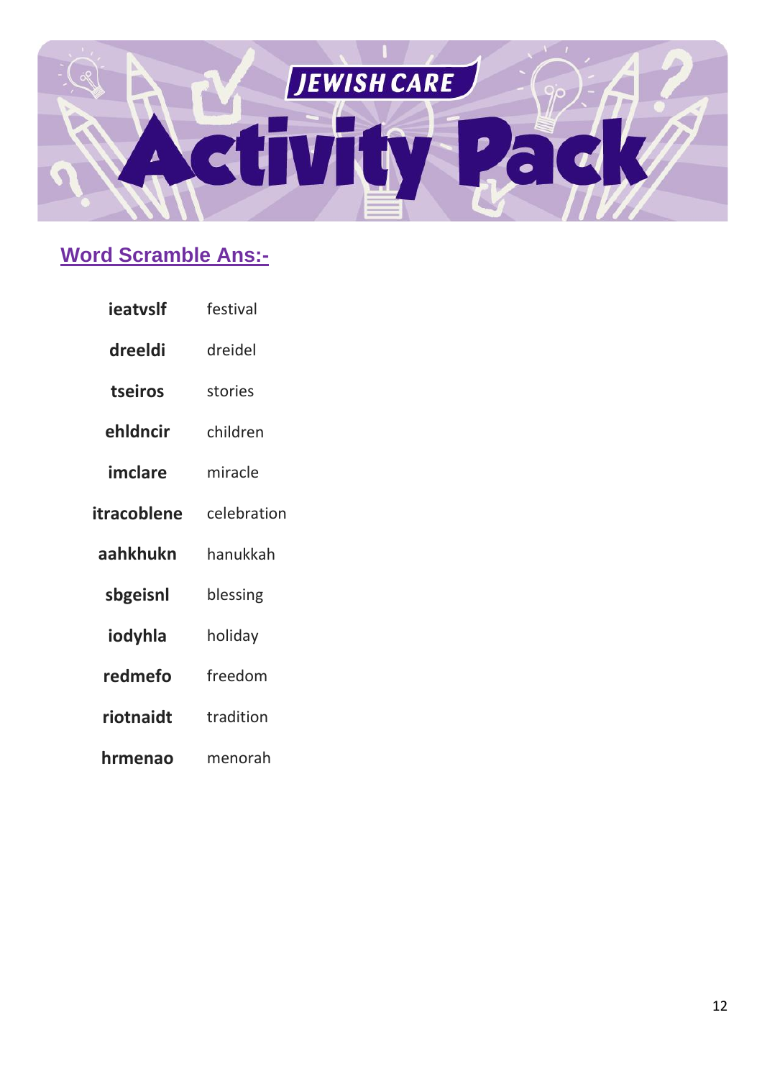

# **Word Scramble Ans:-**

- ieatvslf festival
- dreeldi dreidel
- tseiros stories
- ehldncir children
- imclare miracle
- itracoblene celebration
- aahkhukn hanukkah
- sbgeisnl blessing
- iodyhla holiday
- redmefo freedom
- riotnaidt tradition
- hrmenao menorah